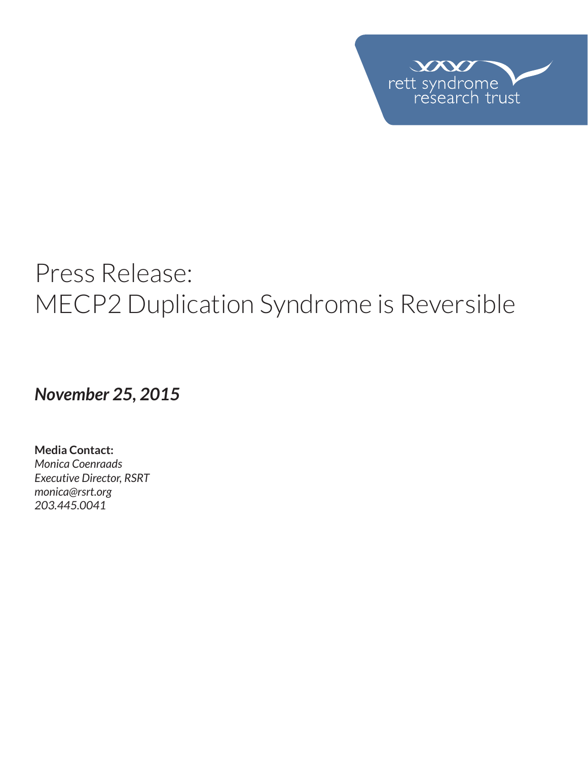

# Press Release: MECP2 Duplication Syndrome is Reversible

*November 25, 2015*

**Media Contact:**  *Monica Coenraads Executive Director, RSRT monica@rsrt.org 203.445.0041*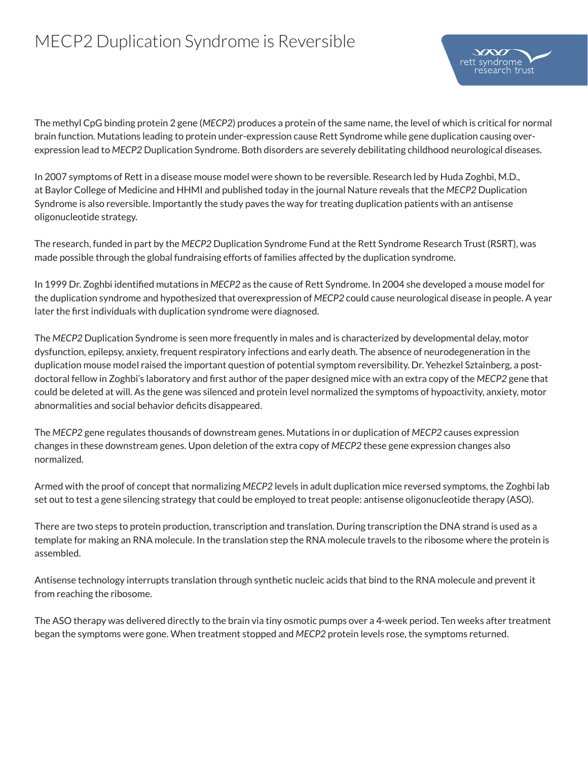## MECP2 Duplication Syndrome is Reversible

The methyl CpG binding protein 2 gene (*MECP2*) produces a protein of the same name, the level of which is critical for normal brain function. Mutations leading to protein under-expression cause Rett Syndrome while gene duplication causing overexpression lead to *MECP2* Duplication Syndrome. Both disorders are severely debilitating childhood neurological diseases.

 $VX$ rett syndrome

In 2007 symptoms of Rett in a disease mouse model were shown to be reversible. Research led by Huda Zoghbi, M.D., at Baylor College of Medicine and HHMI and published today in the journal Nature reveals that the *MECP2* Duplication Syndrome is also reversible. Importantly the study paves the way for treating duplication patients with an antisense oligonucleotide strategy.

The research, funded in part by the *MECP2* Duplication Syndrome Fund at the Rett Syndrome Research Trust (RSRT), was made possible through the global fundraising efforts of families affected by the duplication syndrome.

In 1999 Dr. Zoghbi identified mutations in *MECP2* as the cause of Rett Syndrome. In 2004 she developed a mouse model for the duplication syndrome and hypothesized that overexpression of *MECP2* could cause neurological disease in people. A year later the first individuals with duplication syndrome were diagnosed.

The *MECP2* Duplication Syndrome is seen more frequently in males and is characterized by developmental delay, motor dysfunction, epilepsy, anxiety, frequent respiratory infections and early death. The absence of neurodegeneration in the duplication mouse model raised the important question of potential symptom reversibility. Dr. Yehezkel Sztainberg, a postdoctoral fellow in Zoghbi's laboratory and first author of the paper designed mice with an extra copy of the *MECP2* gene that could be deleted at will. As the gene was silenced and protein level normalized the symptoms of hypoactivity, anxiety, motor abnormalities and social behavior deficits disappeared.

The *MECP2* gene regulates thousands of downstream genes. Mutations in or duplication of *MECP2* causes expression changes in these downstream genes. Upon deletion of the extra copy of *MECP2* these gene expression changes also normalized.

Armed with the proof of concept that normalizing *MECP2* levels in adult duplication mice reversed symptoms, the Zoghbi lab set out to test a gene silencing strategy that could be employed to treat people: antisense oligonucleotide therapy (ASO).

There are two steps to protein production, transcription and translation. During transcription the DNA strand is used as a template for making an RNA molecule. In the translation step the RNA molecule travels to the ribosome where the protein is assembled.

Antisense technology interrupts translation through synthetic nucleic acids that bind to the RNA molecule and prevent it from reaching the ribosome.

The ASO therapy was delivered directly to the brain via tiny osmotic pumps over a 4-week period. Ten weeks after treatment began the symptoms were gone. When treatment stopped and *MECP2* protein levels rose, the symptoms returned.